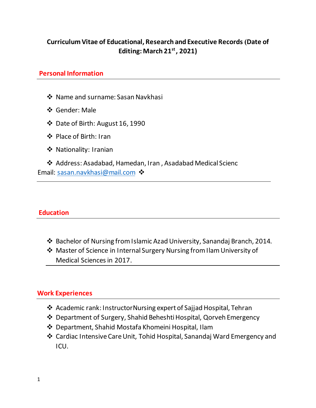# **Curriculum Vitae of Educational, Research and Executive Records )Date of Editing: March 21st , 2021)**

### **Personal Information**

- Name and surname: Sasan Navkhasi
- Gender: Male
- Date of Birth: August 16, 1990
- Place of Birth: Iran
- ❖ Nationality: Iranian

 Address: Asadabad, Hamedan, Iran , Asadabad Medical Scienc Email: [sasan.navkhasi@mail.com](mailto:sasan.navkhasi@mail.com)

### **Education**

- Bachelor of Nursing from Islamic Azad University, Sanandaj Branch, 2014.
- Master of Science in Internal Surgery Nursing from Ilam University of Medical Sciences in 2017.

### **Work Experiences**

- Academic rank: InstructorNursing expert of Sajjad Hospital, Tehran
- Department of Surgery, Shahid Beheshti Hospital, Qorveh Emergency
- Department, Shahid Mostafa Khomeini Hospital, Ilam
- Cardiac Intensive Care Unit, Tohid Hospital, Sanandaj Ward Emergency and ICU.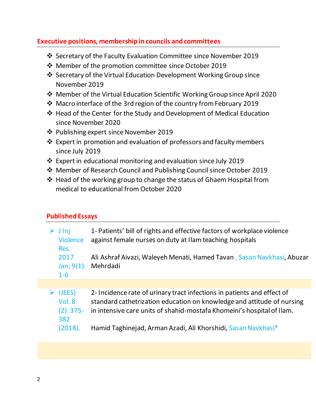### **Executive positions, membership in councils and committees**

- Secretary of the Faculty Evaluation Committee since November 2019
- Member of the promotion committee since October 2019
- Secretary of the Virtual Education Development Working Group since November 2019
- Member of the Virtual Education Scientific Working Group since April 2020
- Macro interface of the 3rd region of the country from February 2019
- Head of the Center for the Study and Development of Medical Education since November 2020
- Publishing expert since November 2019
- $\triangle$  Expert in promotion and evaluation of professors and faculty members since July 2019
- Expert in educational monitoring and evaluation since July 2019
- Member of Research Council and Publishing Council since October 2019
- Head of the working group to change the status of Ghaem Hospital from medical to educational from October 2020

# **Published Essays**

| J Inj<br><b>Violence</b><br>Res.                | 1- Patients' bill of rights and effective factors of workplace violence<br>against female nurses on duty at I lam teaching hospitals                                                                                        |
|-------------------------------------------------|-----------------------------------------------------------------------------------------------------------------------------------------------------------------------------------------------------------------------------|
| 2017<br>Jan; $9(1)$ :<br>$1 - 6$                | Ali Ashraf Aivazi, Waleyeh Menati, Hamed Tavan, Sasan Navkhasi, Abuzar<br>Mehrdadi                                                                                                                                          |
|                                                 |                                                                                                                                                                                                                             |
| <b>IJEES</b> )<br>Vol. 8<br>$(2): 375 -$<br>382 | 2- Incidence rate of urinary tract infections in patients and effect of<br>standard cathetrization education on knowledge and attitude of nursing<br>in intensive care units of shahid-mostafa Khomeini's hospital of Ilam. |
| (2018).                                         | Hamid Taghinejad, Arman Azadi, Ali Khorshidi, Sasan Navkhasi*                                                                                                                                                               |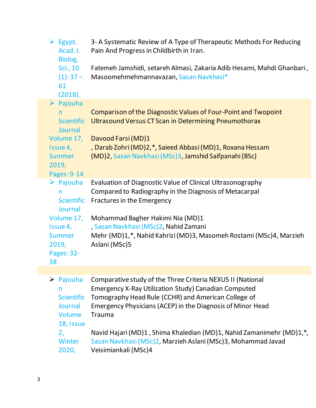| $\triangleright$ Egypt.<br>Acad. J.<br>Biolog.<br>Sci., 10<br>$(1): 37 -$<br>61<br>(2018).                                        | 3-A Systematic Review of A Type of Therapeutic Methods For Reducing<br>Pain And Progress in Childbirth in Iran.<br>Fatemeh Jamshidi, setareh Almasi, Zakaria Adib Hesami, Mahdi Ghanbari,<br>Masoomehmehmannavazan, Sasan Navkhasi*                                  |
|-----------------------------------------------------------------------------------------------------------------------------------|----------------------------------------------------------------------------------------------------------------------------------------------------------------------------------------------------------------------------------------------------------------------|
| $\triangleright$ Pajouha<br>n.<br><b>Scientific</b><br>Journal<br>Volume 17,<br>Issue 4,<br><b>Summer</b><br>2019,<br>Pages: 9-14 | Comparison of the Diagnostic Values of Four-Point and Twopoint<br>Ultrasound Versus CT Scan in Determining Pneumothorax<br>Davood Farsi (MD)1<br>, Darab Zohri (MD)2,*, Saieed Abbasi (MD)1, Roxana Hessam<br>(MD)2, Sasan Navkhasi (MSc)3, Jamshid Saifpanahi (BSc) |
| $\triangleright$ Pajouha<br>n<br><b>Scientific</b><br>Journal<br>Volume 17,<br>Issue 4,                                           | Evaluation of Diagnostic Value of Clinical Ultrasonography<br>Compared to Radiography in the Diagnosis of Metacarpal<br>Fractures in the Emergency<br>Mohammad Bagher Hakimi Nia (MD)1<br>, Sasan Navkhasi (MSc)2, Nahid Zamani                                      |
| Summer<br>2019,<br>Pages: 32-<br>38                                                                                               | Mehr (MD)1,*, Nahid Kahrizi (MD)3, Masomeh Rostami (MSc)4, Marzieh<br>Aslani (MSc)5                                                                                                                                                                                  |
|                                                                                                                                   |                                                                                                                                                                                                                                                                      |
| $\triangleright$ Pajouha<br>n<br><b>Scientific</b><br>Journal                                                                     | Comparative study of the Three Criteria NEXUS II (National<br><b>Emergency X-Ray Utilization Study) Canadian Computed</b><br>Tomography Head Rule (CCHR) and American College of<br>Emergency Physicians (ACEP) in the Diagnosis of Minor Head                       |

Navid Hajari (MD)1 , Shima Khaledian (MD)1, Nahid Zamanimehr (MD)1,\*,

Sasan Navkhasi (MSc)2, Marzieh Aslani (MSc)3, Mohammad Javad

3

Volume 18, Issue Trauma

Veisimiankali (MSc)4

Winter 2020,

2,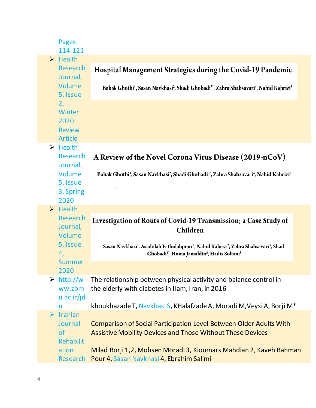|                       | Pages:<br>114-121                                                                  |                                                                                                                                                                                                                          |
|-----------------------|------------------------------------------------------------------------------------|--------------------------------------------------------------------------------------------------------------------------------------------------------------------------------------------------------------------------|
|                       | $\triangleright$ Health                                                            |                                                                                                                                                                                                                          |
|                       | <b>Research</b><br>Journal,                                                        | Hospital Management Strategies during the Covid-19 Pandemic                                                                                                                                                              |
|                       | Volume<br>5, Issue                                                                 | Babak Ghotbi <sup>1</sup> , Sasan Navkhasi <sup>2</sup> , Shadi Ghobadi <sup>3*</sup> , Zahra Shahsavari <sup>4</sup> , Nahid Kahrizi <sup>5</sup>                                                                       |
|                       | 2,<br>Winter<br>2020<br><b>Review</b><br><b>Article</b>                            |                                                                                                                                                                                                                          |
|                       | $\triangleright$ Health<br>Research<br>Journal,<br>Volume<br>5, Issue<br>3, Spring | A Review of the Novel Corona Virus Disease (2019-nCoV)<br>Babak Ghotbi <sup>1</sup> , Sasan Navkhasi <sup>2</sup> , Shadi Ghobadi <sup>3*</sup> , Zahra Shahsavari <sup>4</sup> , Nahid Kahrizi <sup>5</sup>             |
|                       | 2020                                                                               |                                                                                                                                                                                                                          |
|                       | $\triangleright$ Health<br><b>Research</b><br>Journal,<br>Volume                   | Investigation of Routs of Covid-19 Transmission; a Case Study of<br>Children                                                                                                                                             |
|                       | 5, Issue<br>4,                                                                     | Sasan Navkhasi <sup>1</sup> , Asadolah Fatholahpour <sup>2</sup> , Nahid Kahrizi <sup>2</sup> , Zahra Shahsavari <sup>3</sup> , Shadi<br>Ghobadi <sup>4</sup> ', Homa Jamaldin <sup>5</sup> , Hadis Soltani <sup>5</sup> |
|                       | <b>Summer</b><br>2020                                                              |                                                                                                                                                                                                                          |
| ➤                     | http://w<br>ww.zbm<br>u.ac.ir/jd                                                   | The relationship between physical activity and balance control in<br>the elderly with diabetes in Ilam, Iran, in 2016                                                                                                    |
|                       | n                                                                                  | khoukhazade T, Navkhasi S, KHalafzade A, Moradi M, Veysi A, Borji M*                                                                                                                                                     |
| $\blacktriangleright$ | <b>Iranian</b><br>Journal<br><sub>of</sub><br><b>Rehabilit</b>                     | Comparison of Social Participation Level Between Older Adults With<br><b>Assistive Mobility Devices and Those Without These Devices</b>                                                                                  |
|                       | ation<br><b>Research</b>                                                           | Milad Borji 1,2, Mohsen Moradi 3, Kioumars Mahdian 2, Kaveh Bahman<br>Pour 4, Sasan Navkhasi 4, Ebrahim Salimi                                                                                                           |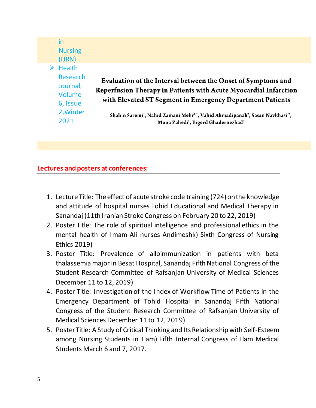| in<br>(IJRN) | <b>Nursing</b>                                                     |                                                                                                                                                                                               |
|--------------|--------------------------------------------------------------------|-----------------------------------------------------------------------------------------------------------------------------------------------------------------------------------------------|
|              | <b>Health</b><br><b>Research</b><br>Journal,<br>Volume<br>6, Issue | Evaluation of the Interval between the Onset of Symptoms and<br>Reperfusion Therapy in Patients with Acute Myocardial Infarction<br>with Elevated ST Segment in Emergency Department Patients |
| 2021         | 2, Winter                                                          | Shahin Saremi <sup>1</sup> , Nahid Zamani Mehr <sup>i,*</sup> , Vahid Ahmadipanah <sup>2</sup> , Sasan Navkhasi <sup>2</sup> ,<br>Mona Zahedi <sup>1</sup> , Bigerd Ghadernezhad <sup>1</sup> |

### **Lectures and posters at conferences:**

- 1. Lecture Title: The effect of acute stroke code training (724) on the knowledge and attitude of hospital nurses Tohid Educational and Medical Therapy in Sanandaj (11th Iranian Stroke Congress on February 20 to 22, 2019)
- 2. Poster Title: The role of spiritual intelligence and professional ethics in the mental health of Imam Ali nurses Andimeshk) Sixth Congress of Nursing Ethics 2019)
- 3. Poster Title: Prevalence of alloimmunization in patients with beta thalassemia major in Besat Hospital, Sanandaj Fifth National Congress of the Student Research Committee of Rafsanjan University of Medical Sciences December 11 to 12, 2019)
- 4. Poster Title: Investigation of the Index of Workflow Time of Patients in the Emergency Department of Tohid Hospital in Sanandaj Fifth National Congress of the Student Research Committee of Rafsanjan University of Medical Sciences December 11 to 12, 2019)
- 5. Poster Title: A Study of Critical Thinking and Its Relationship with Self-Esteem among Nursing Students in Ilam) Fifth Internal Congress of Ilam Medical Students March 6 and 7, 2017.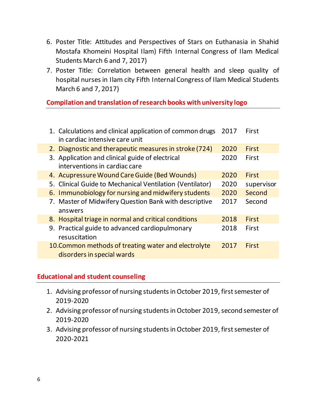- 6. Poster Title: Attitudes and Perspectives of Stars on Euthanasia in Shahid Mostafa Khomeini Hospital Ilam) Fifth Internal Congress of Ilam Medical Students March 6 and 7, 2017)
- 7. Poster Title: Correlation between general health and sleep quality of hospital nurses in Ilam city Fifth Internal Congress of Ilam Medical Students March 6 and 7, 2017)

**Compilation and translation of research books with university logo**

| 1. Calculations and clinical application of common drugs<br>in cardiac intensive care unit | 2017 | First        |
|--------------------------------------------------------------------------------------------|------|--------------|
| 2. Diagnostic and therapeutic measures in stroke (724)                                     | 2020 | First        |
| 3. Application and clinical guide of electrical<br>interventions in cardiac care           | 2020 | First        |
| 4. Acupressure Wound Care Guide (Bed Wounds)                                               | 2020 | First        |
| 5. Clinical Guide to Mechanical Ventilation (Ventilator)                                   | 2020 | supervisor   |
| 6. Immunobiology for nursing and midwifery students                                        | 2020 | Second       |
| 7. Master of Midwifery Question Bank with descriptive<br>answers                           | 2017 | Second       |
| 8. Hospital triage in normal and critical conditions                                       | 2018 | First        |
| 9. Practical guide to advanced cardiopulmonary<br>resuscitation                            | 2018 | First        |
| 10. Common methods of treating water and electrolyte<br>disorders in special wards         | 2017 | <b>First</b> |

### **Educational and student counseling**

- 1. Advising professor of nursing students in October 2019, first semester of 2019-2020
- 2. Advising professor of nursing students in October 2019, second semester of 2019-2020
- 3. Advising professor of nursing students in October 2019, first semester of 2020-2021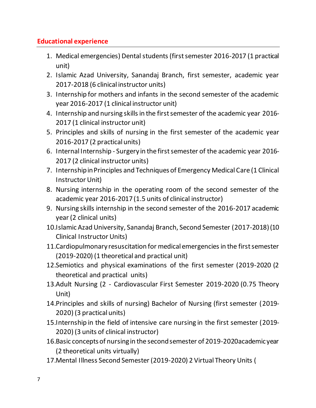# **Educational experience**

- 1. Medical emergencies) Dental students (first semester 2016-2017 (1 practical unit)
- 2. Islamic Azad University, Sanandaj Branch, first semester, academic year 2017-2018 (6 clinical instructor units)
- 3. Internship for mothers and infants in the second semester of the academic year 2016-2017 (1 clinical instructor unit)
- 4. Internship and nursing skills in the first semester of the academic year 2016- 2017 (1 clinical instructor unit)
- 5. Principles and skills of nursing in the first semester of the academic year 2016-2017 (2 practical units)
- 6. Internal Internship Surgery in the first semester of the academic year 2016- 2017 (2 clinical instructor units)
- 7. Internship in Principles and Techniques of Emergency Medical Care (1 Clinical Instructor Unit)
- 8. Nursing internship in the operating room of the second semester of the academic year 2016-2017 (1.5 units of clinical instructor)
- 9. Nursing skills internship in the second semester of the 2016-2017 academic year (2 clinical units)
- 10.Islamic Azad University, Sanandaj Branch, Second Semester (2017-2018) (10 Clinical Instructor Units)
- 11.Cardiopulmonary resuscitation for medical emergencies in the first semester (2019-2020) (1 theoretical and practical unit)
- 12.Semiotics and physical examinations of the first semester (2019-2020 (2 theoretical and practical units)
- 13.Adult Nursing (2 Cardiovascular First Semester 2019-2020 (0.75 Theory Unit)
- 14.Principles and skills of nursing) Bachelor of Nursing (first semester (2019- 2020) (3 practical units)
- 15.Internship in the field of intensive care nursing in the first semester (2019- 2020) (3 units of clinical instructor)
- 16.Basic concepts of nursing in the second semester of 2019-2020academic year (2 theoretical units virtually)
- 17.Mental Illness Second Semester (2019-2020) 2 Virtual Theory Units (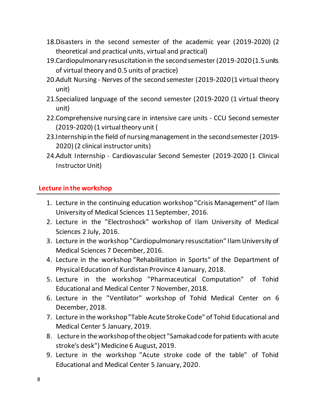- 18.Disasters in the second semester of the academic year (2019-2020) (2 theoretical and practical units, virtual and practical)
- 19.Cardiopulmonary resuscitation in the second semester (2019-2020 (1.5 units of virtual theory and 0.5 units of practice)
- 20.Adult Nursing Nerves of the second semester (2019-2020 (1 virtual theory unit)
- 21.Specialized language of the second semester (2019-2020 (1 virtual theory unit)
- 22.Comprehensive nursing care in intensive care units CCU Second semester (2019-2020) (1 virtual theory unit (
- 23.Internship in the field of nursing management in the second semester (2019- 2020) (2 clinical instructor units)
- 24.Adult Internship Cardiovascular Second Semester (2019-2020 (1 Clinical Instructor Unit)

# **Lecture in the workshop**

- 1. Lecture in the continuing education workshop "Crisis Management" of Ilam University of Medical Sciences 11 September, 2016.
- 2. Lecture in the "Electroshock" workshop of Ilam University of Medical Sciences 2 July, 2016.
- 3. Lecture in the workshop "Cardiopulmonary resuscitation" Ilam University of Medical Sciences 7 December, 2016.
- 4. Lecture in the workshop "Rehabilitation in Sports" of the Department of Physical Education of Kurdistan Province 4 January, 2018.
- 5. Lecture in the workshop "Pharmaceutical Computation" of Tohid Educational and Medical Center 7 November, 2018.
- 6. Lecture in the "Ventilator" workshop of Tohid Medical Center on 6 December, 2018.
- 7. Lecture in the workshop "Table Acute Stroke Code" of Tohid Educational and Medical Center 5 January, 2019.
- 8. Lecture in the workshop of the object "Samakad code for patients with acute stroke's desk") Medicine 6 August, 2019.
- 9. Lecture in the workshop "Acute stroke code of the table" of Tohid Educational and Medical Center 5 January, 2020.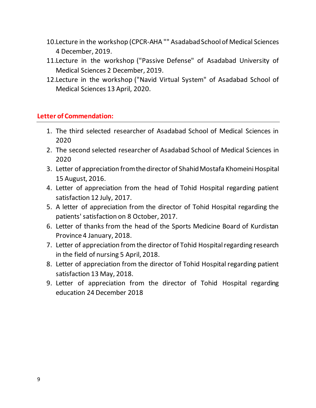- 10.Lecture in the workshop (CPCR-AHA "" Asadabad School of Medical Sciences 4 December, 2019.
- 11.Lecture in the workshop ("Passive Defense" of Asadabad University of Medical Sciences 2 December, 2019.
- 12.Lecture in the workshop ("Navid Virtual System" of Asadabad School of Medical Sciences 13 April, 2020.

### **Letter of Commendation:**

- 1. The third selected researcher of Asadabad School of Medical Sciences in 2020
- 2. The second selected researcher of Asadabad School of Medical Sciences in 2020
- 3. Letter of appreciation from the director of Shahid Mostafa Khomeini Hospital 15 August, 2016.
- 4. Letter of appreciation from the head of Tohid Hospital regarding patient satisfaction 12 July, 2017.
- 5. A letter of appreciation from the director of Tohid Hospital regarding the patients' satisfaction on 8 October, 2017.
- 6. Letter of thanks from the head of the Sports Medicine Board of Kurdistan Province 4 January, 2018.
- 7. Letter of appreciation from the director of Tohid Hospital regarding research in the field of nursing 5 April, 2018.
- 8. Letter of appreciation from the director of Tohid Hospital regarding patient satisfaction 13 May, 2018.
- 9. Letter of appreciation from the director of Tohid Hospital regarding education 24 December 2018